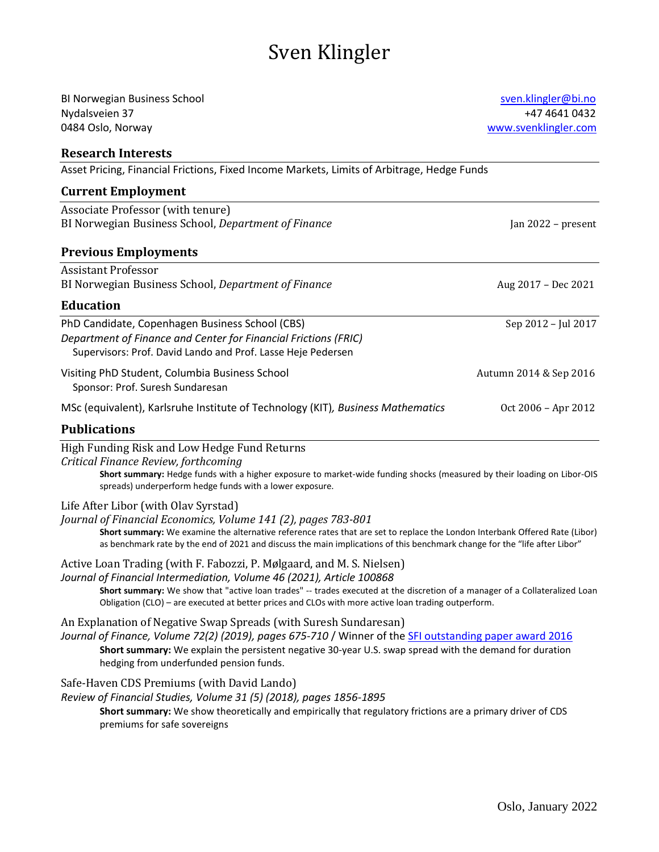# Sven Klingler

| <b>BI Norwegian Business School</b>                                                                                                                                                                                                                       | sven.klingler@bi.no    |
|-----------------------------------------------------------------------------------------------------------------------------------------------------------------------------------------------------------------------------------------------------------|------------------------|
| Nydalsveien 37                                                                                                                                                                                                                                            | +47 4641 0432          |
| 0484 Oslo, Norway                                                                                                                                                                                                                                         | www.svenklingler.com   |
| <b>Research Interests</b>                                                                                                                                                                                                                                 |                        |
| Asset Pricing, Financial Frictions, Fixed Income Markets, Limits of Arbitrage, Hedge Funds                                                                                                                                                                |                        |
| <b>Current Employment</b>                                                                                                                                                                                                                                 |                        |
| Associate Professor (with tenure)                                                                                                                                                                                                                         |                        |
| BI Norwegian Business School, Department of Finance                                                                                                                                                                                                       | Jan 2022 - present     |
| <b>Previous Employments</b>                                                                                                                                                                                                                               |                        |
| <b>Assistant Professor</b>                                                                                                                                                                                                                                |                        |
| BI Norwegian Business School, Department of Finance                                                                                                                                                                                                       | Aug 2017 - Dec 2021    |
| <b>Education</b>                                                                                                                                                                                                                                          |                        |
| PhD Candidate, Copenhagen Business School (CBS)                                                                                                                                                                                                           | Sep 2012 - Jul 2017    |
| Department of Finance and Center for Financial Frictions (FRIC)                                                                                                                                                                                           |                        |
| Supervisors: Prof. David Lando and Prof. Lasse Heje Pedersen                                                                                                                                                                                              |                        |
| Visiting PhD Student, Columbia Business School                                                                                                                                                                                                            | Autumn 2014 & Sep 2016 |
| Sponsor: Prof. Suresh Sundaresan                                                                                                                                                                                                                          |                        |
| MSc (equivalent), Karlsruhe Institute of Technology (KIT), Business Mathematics                                                                                                                                                                           | Oct 2006 - Apr 2012    |
| <b>Publications</b>                                                                                                                                                                                                                                       |                        |
| High Funding Risk and Low Hedge Fund Returns                                                                                                                                                                                                              |                        |
| Critical Finance Review, forthcoming                                                                                                                                                                                                                      |                        |
| Short summary: Hedge funds with a higher exposure to market-wide funding shocks (measured by their loading on Libor-OIS<br>spreads) underperform hedge funds with a lower exposure.                                                                       |                        |
| Life After Libor (with Olav Syrstad)                                                                                                                                                                                                                      |                        |
| Journal of Financial Economics, Volume 141 (2), pages 783-801                                                                                                                                                                                             |                        |
| Short summary: We examine the alternative reference rates that are set to replace the London Interbank Offered Rate (Libor)<br>as benchmark rate by the end of 2021 and discuss the main implications of this benchmark change for the "life after Libor" |                        |
| Active Loan Trading (with F. Fabozzi, P. Mølgaard, and M. S. Nielsen)                                                                                                                                                                                     |                        |
| Journal of Financial Intermediation, Volume 46 (2021), Article 100868                                                                                                                                                                                     |                        |
| Short summary: We show that "active loan trades" -- trades executed at the discretion of a manager of a Collateralized Loan<br>Obligation (CLO) - are executed at better prices and CLOs with more active loan trading outperform.                        |                        |
| An Explanation of Negative Swap Spreads (with Suresh Sundaresan)                                                                                                                                                                                          |                        |
| Journal of Finance, Volume 72(2) (2019), pages 675-710 / Winner of the SFI outstanding paper award 2016                                                                                                                                                   |                        |
| Short summary: We explain the persistent negative 30-year U.S. swap spread with the demand for duration<br>hedging from underfunded pension funds.                                                                                                        |                        |
| Safe-Haven CDS Premiums (with David Lando)                                                                                                                                                                                                                |                        |
| Review of Financial Studies, Volume 31 (5) (2018), pages 1856-1895                                                                                                                                                                                        |                        |
| Short summary: We show theoretically and empirically that regulatory frictions are a primary driver of CDS<br>premiums for safe sovereigns                                                                                                                |                        |
|                                                                                                                                                                                                                                                           |                        |
|                                                                                                                                                                                                                                                           |                        |
|                                                                                                                                                                                                                                                           |                        |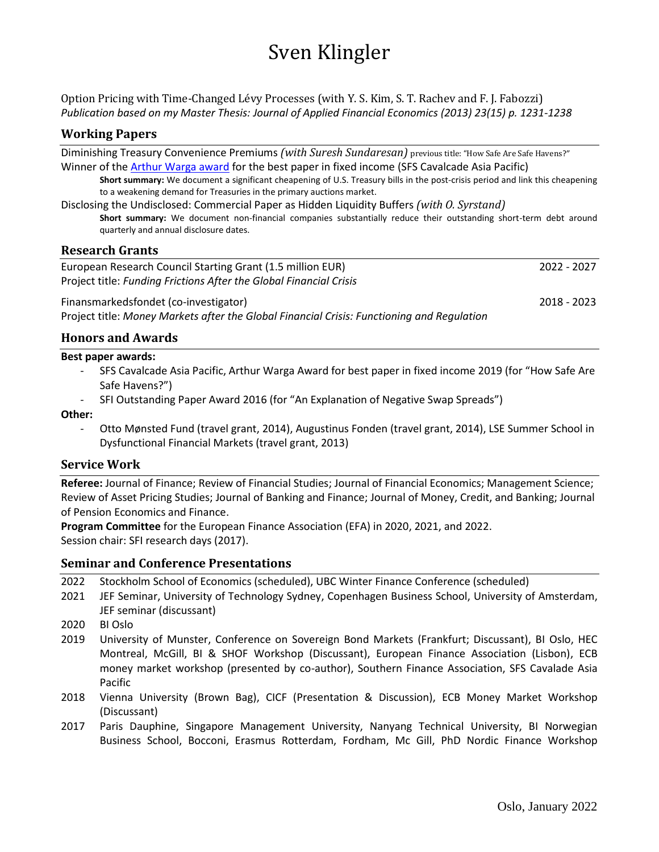# Sven Klingler

[Option Pricing with Time-Changed Lévy Processes \(with Y. S. Kim, S. T. Rachev and F. J. Fabozzi\)](https://www.tandfonline.com/doi/abs/10.1080/09603107.2013.807024) *Publication based on my Master Thesis: Journal of Applied Financial Economics (2013) 23(15) p. 1231-1238*

# **Working Papers**

Diminishing Treasury Convenience Premiums *(with Suresh Sundaresan)* previous title: "How Safe Are Safe Havens?" Winner of the [Arthur Warga award](http://sfs.org/news/winners-of-the-cavalcade-best-paper-awards-6/) for the best paper in fixed income (SFS Cavalcade Asia Pacific)

**Short summary:** We document a significant cheapening of U.S. Treasury bills in the post-crisis period and link this cheapening to a weakening demand for Treasuries in the primary auctions market.

Disclosing the Undisclosed: Commercial Paper as Hidden Liquidity Buffers *(with O. Syrstand)* **Short summary:** We document non-financial companies substantially reduce their outstanding short-term debt around quarterly and annual disclosure dates.

### **Research Grants**

European Research Council Starting Grant (1.5 million EUR) 2022 - 2027 Project title: *Funding Frictions After the Global Financial Crisis*

Finansmarkedsfondet (co-investigator) 2018 - 2023 Project title: *Money Markets after the Global Financial Crisis: Functioning and Regulation*

**Honors and Awards**

#### **Best paper awards:**

- SFS Cavalcade Asia Pacific, Arthur Warga Award for best paper in fixed income 2019 (for "How Safe Are Safe Havens?")
- SFI Outstanding Paper Award 2016 (for "An Explanation of Negative Swap Spreads")

#### **Other:**

- Otto Mønsted Fund (travel grant, 2014), Augustinus Fonden (travel grant, 2014), LSE Summer School in Dysfunctional Financial Markets (travel grant, 2013)

### **Service Work**

**Referee:** Journal of Finance; Review of Financial Studies; Journal of Financial Economics; Management Science; Review of Asset Pricing Studies; Journal of Banking and Finance; Journal of Money, Credit, and Banking; Journal of Pension Economics and Finance.

**Program Committee** for the European Finance Association (EFA) in 2020, 2021, and 2022. Session chair: SFI research days (2017).

### **Seminar and Conference Presentations**

|  | 2022 Stockholm School of Economics (scheduled), UBC Winter Finance Conference (scheduled) |  |  |
|--|-------------------------------------------------------------------------------------------|--|--|
|--|-------------------------------------------------------------------------------------------|--|--|

- 2021 JEF Seminar, University of Technology Sydney, Copenhagen Business School, University of Amsterdam, JEF seminar (discussant)
- 2020 BI Oslo
- 2019 University of Munster, Conference on Sovereign Bond Markets (Frankfurt; Discussant), BI Oslo, HEC Montreal, McGill, BI & SHOF Workshop (Discussant), European Finance Association (Lisbon), ECB money market workshop (presented by co-author), Southern Finance Association, SFS Cavalade Asia Pacific
- 2018 Vienna University (Brown Bag), CICF (Presentation & Discussion), ECB Money Market Workshop (Discussant)
- 2017 Paris Dauphine, Singapore Management University, Nanyang Technical University, BI Norwegian Business School, Bocconi, Erasmus Rotterdam, Fordham, Mc Gill, PhD Nordic Finance Workshop